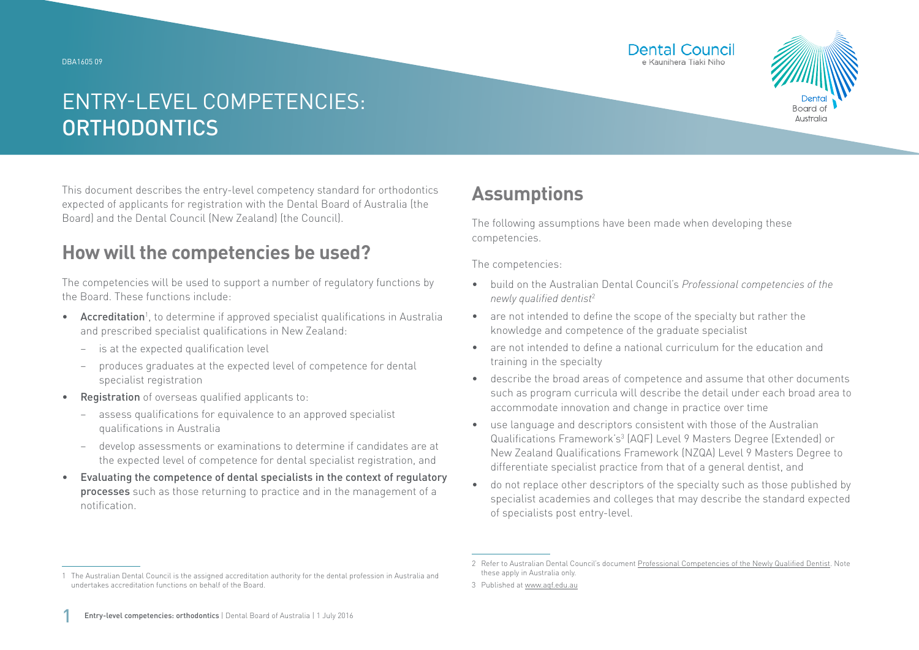DBA1605 09





# ENTRY-LEVEL COMPETENCIES: **ORTHODONTICS**

This document describes the entry-level competency standard for orthodontics expected of applicants for registration with the Dental Board of Australia (the Board) and the Dental Council (New Zealand) (the Council).

### **How will the competencies be used?**

The competencies will be used to support a number of regulatory functions by the Board. These functions include:

- Accreditation<sup>1</sup>, to determine if approved specialist qualifications in Australia and prescribed specialist qualifications in New Zealand:
	- − is at the expected qualification level
	- − produces graduates at the expected level of competence for dental specialist registration
- Registration of overseas qualified applicants to:
	- assess qualifications for equivalence to an approved specialist qualifications in Australia
	- − develop assessments or examinations to determine if candidates are at the expected level of competence for dental specialist registration, and
- Evaluating the competence of dental specialists in the context of regulatory processes such as those returning to practice and in the management of a notification.

## **Assumptions**

The following assumptions have been made when developing these competencies.

The competencies:

- build on the Australian Dental Council's *Professional competencies of the newly qualified dentist*<sup>2</sup>
- are not intended to define the scope of the specialty but rather the knowledge and competence of the graduate specialist
- are not intended to define a national curriculum for the education and training in the specialty
- describe the broad areas of competence and assume that other documents such as program curricula will describe the detail under each broad area to accommodate innovation and change in practice over time
- use language and descriptors consistent with those of the Australian Qualifications Framework's<sup>3</sup> (AQF) Level 9 Masters Degree (Extended) or New Zealand Qualifications Framework (NZQA) Level 9 Masters Degree to differentiate specialist practice from that of a general dentist, and
- do not replace other descriptors of the specialty such as those published by specialist academies and colleges that may describe the standard expected of specialists post entry-level.

<sup>1</sup> The Australian Dental Council is the assigned accreditation authority for the dental profession in Australia and undertakes accreditation functions on behalf of the Board.

<sup>2</sup> Refer to Australian Dental Council's document [Professional Competencies of the Newly Qualified Dentist.](http://Professional Competencies of the Newly Qualified Dentist) Note these apply in Australia only.

<sup>3</sup> Published at [www.aqf.edu.au](http://www.aqf.edu.au)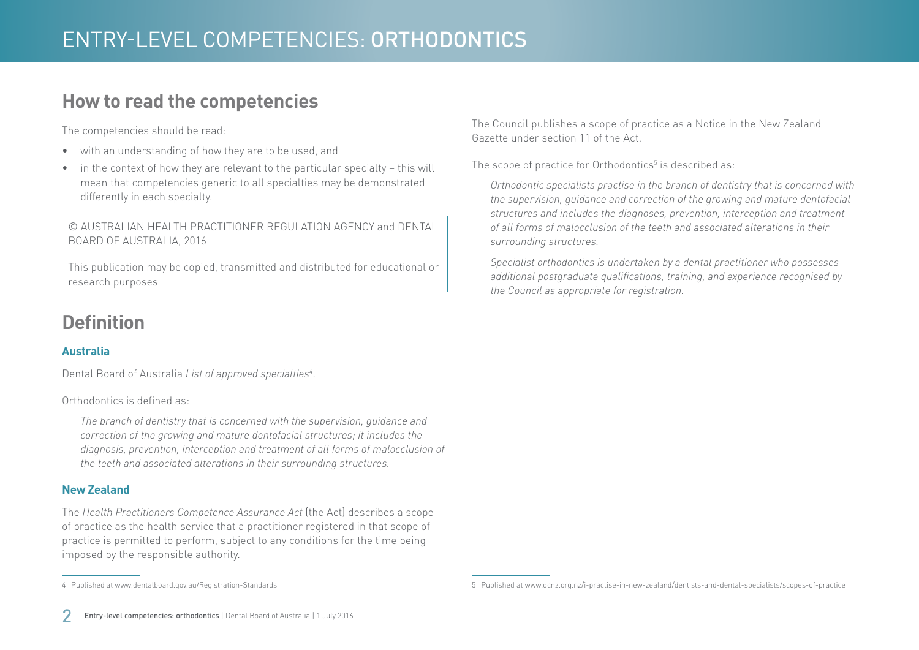### **How to read the competencies**

The competencies should be read:

- with an understanding of how they are to be used, and
- in the context of how they are relevant to the particular specialty this will mean that competencies generic to all specialties may be demonstrated differently in each specialty.

© AUSTRALIAN HEALTH PRACTITIONER REGULATION AGENCY and DENTAL BOARD OF AUSTRALIA, 2016

This publication may be copied, transmitted and distributed for educational or research purposes

## **Definition**

### **Australia**

Dental Board of Australia *List of approved specialties*<sup>4</sup> .

#### Orthodontics is defined as:

*The branch of dentistry that is concerned with the supervision, guidance and correction of the growing and mature dentofacial structures; it includes the diagnosis, prevention, interception and treatment of all forms of malocclusion of the teeth and associated alterations in their surrounding structures.*

### **New Zealand**

The *Health Practitioners Competence Assurance Act* (the Act) describes a scope of practice as the health service that a practitioner registered in that scope of practice is permitted to perform, subject to any conditions for the time being imposed by the responsible authority.

The Council publishes a scope of practice as a Notice in the New Zealand Gazette under section 11 of the Act.

The scope of practice for Orthodontics $^5$  is described as:

*Orthodontic specialists practise in the branch of dentistry that is concerned with the supervision, guidance and correction of the growing and mature dentofacial structures and includes the diagnoses, prevention, interception and treatment of all forms of malocclusion of the teeth and associated alterations in their surrounding structures.*

*Specialist orthodontics is undertaken by a dental practitioner who possesses additional postgraduate qualifications, training, and experience recognised by the Council as appropriate for registration.*

<sup>4</sup> Published at [www.dentalboard.gov.au/Registration-Standards](http://www.dentalboard.gov.au/Registration-Standards.aspx)

<sup>5</sup> Published at [www.dcnz.org.nz/i-practise-in-new-zealand/dentists-and-dental-specialists/scopes-of-practice](http://www.dcnz.org.nz/i-practise-in-new-zealand/dentists-and-dental-specialists/scopes-of-practice)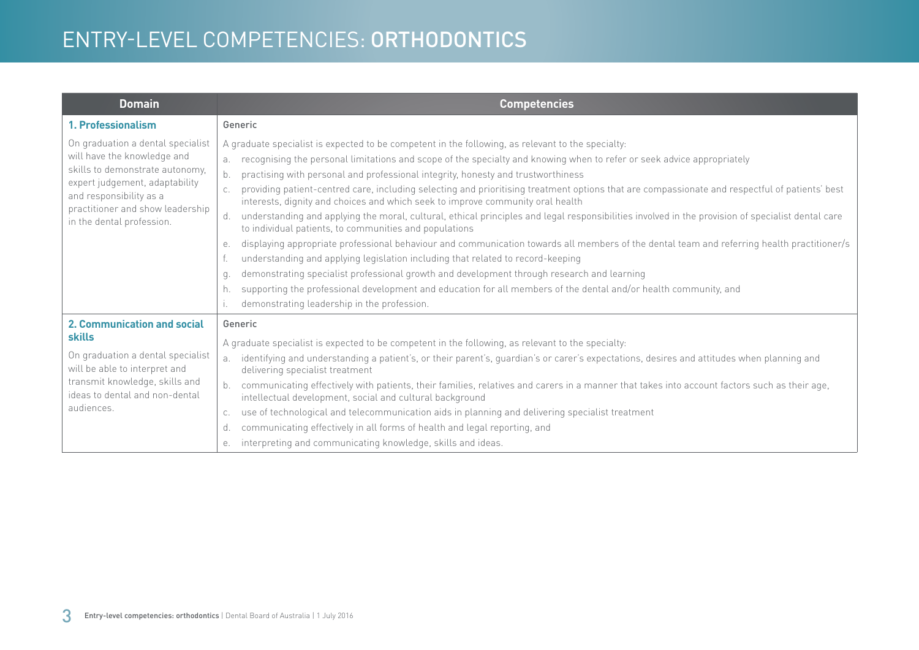# ENTRY-LEVEL COMPETENCIES: ORTHODONTICS

| <b>Domain</b>                                                                                                                                                                                                                     | <b>Competencies</b>                                                                                                                                                                                                                                                                                                                                                                                                                                                                                                                                                                                                                                                                                                                                                                                                                                                                                                                                                                                                                                                                                                                                                                                                                                                                                |
|-----------------------------------------------------------------------------------------------------------------------------------------------------------------------------------------------------------------------------------|----------------------------------------------------------------------------------------------------------------------------------------------------------------------------------------------------------------------------------------------------------------------------------------------------------------------------------------------------------------------------------------------------------------------------------------------------------------------------------------------------------------------------------------------------------------------------------------------------------------------------------------------------------------------------------------------------------------------------------------------------------------------------------------------------------------------------------------------------------------------------------------------------------------------------------------------------------------------------------------------------------------------------------------------------------------------------------------------------------------------------------------------------------------------------------------------------------------------------------------------------------------------------------------------------|
| 1. Professionalism                                                                                                                                                                                                                | Generic                                                                                                                                                                                                                                                                                                                                                                                                                                                                                                                                                                                                                                                                                                                                                                                                                                                                                                                                                                                                                                                                                                                                                                                                                                                                                            |
| On graduation a dental specialist<br>will have the knowledge and<br>skills to demonstrate autonomy,<br>expert judgement, adaptability<br>and responsibility as a<br>practitioner and show leadership<br>in the dental profession. | A graduate specialist is expected to be competent in the following, as relevant to the specialty:<br>recognising the personal limitations and scope of the specialty and knowing when to refer or seek advice appropriately<br>b.<br>practising with personal and professional integrity, honesty and trustworthiness<br>providing patient-centred care, including selecting and prioritising treatment options that are compassionate and respectful of patients' best<br>interests, dignity and choices and which seek to improve community oral health<br>understanding and applying the moral, cultural, ethical principles and legal responsibilities involved in the provision of specialist dental care<br>d.<br>to individual patients, to communities and populations<br>displaying appropriate professional behaviour and communication towards all members of the dental team and referring health practitioner/s<br>е.<br>understanding and applying legislation including that related to record-keeping<br>demonstrating specialist professional growth and development through research and learning<br>q.<br>supporting the professional development and education for all members of the dental and/or health community, and<br>h.<br>demonstrating leadership in the profession. |
| <b>2. Communication and social</b><br><b>skills</b><br>On graduation a dental specialist<br>will be able to interpret and<br>transmit knowledge, skills and<br>ideas to dental and non-dental<br>audiences.                       | Generic<br>A graduate specialist is expected to be competent in the following, as relevant to the specialty:<br>identifying and understanding a patient's, or their parent's, guardian's or carer's expectations, desires and attitudes when planning and<br>a <sub>z</sub><br>delivering specialist treatment<br>communicating effectively with patients, their families, relatives and carers in a manner that takes into account factors such as their age,<br>intellectual development, social and cultural background<br>use of technological and telecommunication aids in planning and delivering specialist treatment<br>C.<br>communicating effectively in all forms of health and legal reporting, and<br>d.<br>interpreting and communicating knowledge, skills and ideas.<br>е.                                                                                                                                                                                                                                                                                                                                                                                                                                                                                                        |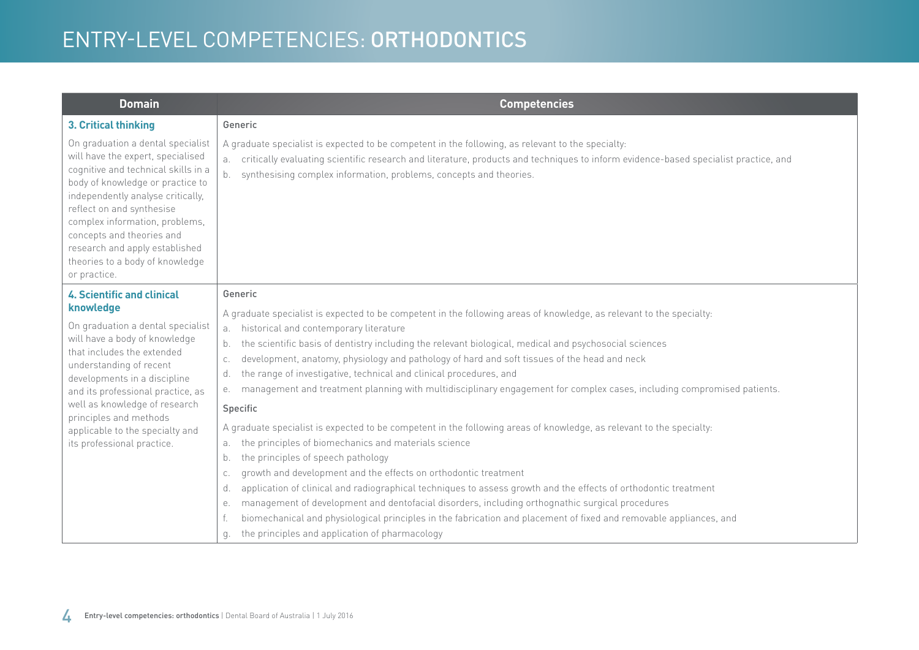# ENTRY-LEVEL COMPETENCIES: ORTHODONTICS

| <b>Domain</b>                                                                                                                                                                                                                                                                                                                                                           | <b>Competencies</b>                                                                                                                                                                                                                                                                                                                                                                                                                                                                                                                                                                                                                                                                                                                                                                                                                                                                                                                                                                                                                                                                                                                                                                                                                                                                                                                        |
|-------------------------------------------------------------------------------------------------------------------------------------------------------------------------------------------------------------------------------------------------------------------------------------------------------------------------------------------------------------------------|--------------------------------------------------------------------------------------------------------------------------------------------------------------------------------------------------------------------------------------------------------------------------------------------------------------------------------------------------------------------------------------------------------------------------------------------------------------------------------------------------------------------------------------------------------------------------------------------------------------------------------------------------------------------------------------------------------------------------------------------------------------------------------------------------------------------------------------------------------------------------------------------------------------------------------------------------------------------------------------------------------------------------------------------------------------------------------------------------------------------------------------------------------------------------------------------------------------------------------------------------------------------------------------------------------------------------------------------|
| 3. Critical thinking                                                                                                                                                                                                                                                                                                                                                    | Generic                                                                                                                                                                                                                                                                                                                                                                                                                                                                                                                                                                                                                                                                                                                                                                                                                                                                                                                                                                                                                                                                                                                                                                                                                                                                                                                                    |
| On graduation a dental specialist<br>will have the expert, specialised<br>cognitive and technical skills in a<br>body of knowledge or practice to<br>independently analyse critically,<br>reflect on and synthesise<br>complex information, problems,<br>concepts and theories and<br>research and apply established<br>theories to a body of knowledge<br>or practice. | A graduate specialist is expected to be competent in the following, as relevant to the specialty:<br>a. critically evaluating scientific research and literature, products and techniques to inform evidence-based specialist practice, and<br>synthesising complex information, problems, concepts and theories.<br>b.                                                                                                                                                                                                                                                                                                                                                                                                                                                                                                                                                                                                                                                                                                                                                                                                                                                                                                                                                                                                                    |
| <b>4. Scientific and clinical</b>                                                                                                                                                                                                                                                                                                                                       | Generic                                                                                                                                                                                                                                                                                                                                                                                                                                                                                                                                                                                                                                                                                                                                                                                                                                                                                                                                                                                                                                                                                                                                                                                                                                                                                                                                    |
| knowledge<br>On graduation a dental specialist<br>will have a body of knowledge<br>that includes the extended<br>understanding of recent<br>developments in a discipline<br>and its professional practice, as<br>well as knowledge of research<br>principles and methods<br>applicable to the specialty and<br>its professional practice.                               | A graduate specialist is expected to be competent in the following areas of knowledge, as relevant to the specialty:<br>a. historical and contemporary literature<br>the scientific basis of dentistry including the relevant biological, medical and psychosocial sciences<br>b.<br>development, anatomy, physiology and pathology of hard and soft tissues of the head and neck<br>C.<br>the range of investigative, technical and clinical procedures, and<br>d.<br>management and treatment planning with multidisciplinary engagement for complex cases, including compromised patients.<br>е.<br>Specific<br>A graduate specialist is expected to be competent in the following areas of knowledge, as relevant to the specialty:<br>the principles of biomechanics and materials science<br>a.<br>the principles of speech pathology<br>b.<br>growth and development and the effects on orthodontic treatment<br>C.<br>application of clinical and radiographical techniques to assess growth and the effects of orthodontic treatment<br>d.<br>management of development and dentofacial disorders, including orthognathic surgical procedures<br>е.<br>biomechanical and physiological principles in the fabrication and placement of fixed and removable appliances, and<br>the principles and application of pharmacology<br>g. |